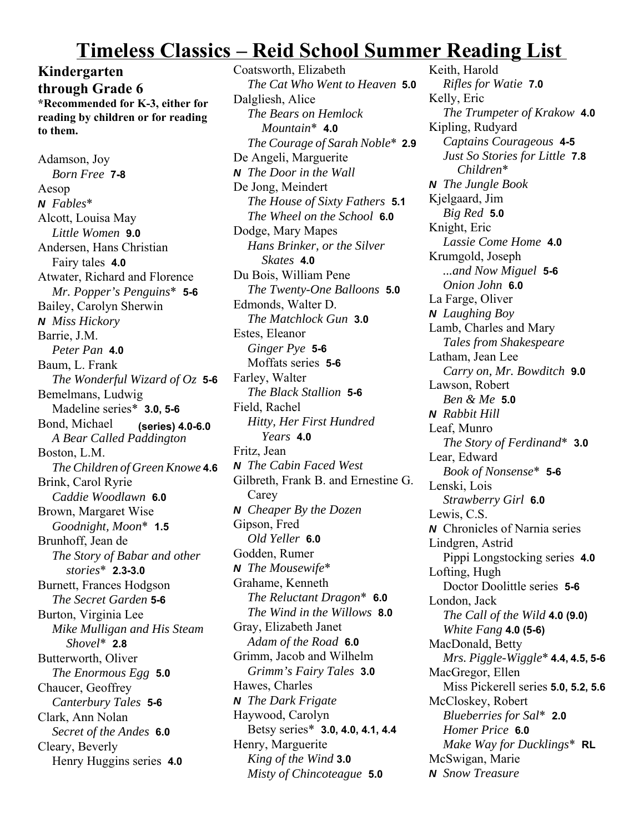## **Timeless Classics – Reid School Summer Reading List**

**Kindergarten through Grade 6 \*Recommended for K-3, either for reading by children or for reading to them.**

Adamson, Joy *Born Free* **7-8** Aesop *N Fables*\* Alcott, Louisa May *Little Women* **9.0** Andersen, Hans Christian Fairy tales **4.0** Atwater, Richard and Florence *Mr. Popper's Penguins*\* **5-6** Bailey, Carolyn Sherwin *N Miss Hickory* Barrie, J.M. *Peter Pan* **4.0** Baum, L. Frank *The Wonderful Wizard of Oz* **5-6** Bemelmans, Ludwig Madeline series\* **3.0, 5-6** Bond, Michael **(series) 4.0-6.0** *A Bear Called Paddington* Boston, L.M. *The Children of Green Knowe* **4.6** Brink, Carol Ryrie *Caddie Woodlawn* **6.0** Brown, Margaret Wise *Goodnight, Moon*\* **1.5** Brunhoff, Jean de *The Story of Babar and other stories*\* **2.3-3.0** Burnett, Frances Hodgson *The Secret Garden* **5-6** Burton, Virginia Lee *Mike Mulligan and His Steam Shovel*\* **2.8** Butterworth, Oliver *The Enormous Egg* **5.0** Chaucer, Geoffrey *Canterbury Tales* **5-6** Clark, Ann Nolan *Secret of the Andes* **6.0** Cleary, Beverly Henry Huggins series **4.0**

Coatsworth, Elizabeth *The Cat Who Went to Heaven* **5.0** Dalgliesh, Alice *The Bears on Hemlock Mountain*\* **4.0** *The Courage of Sarah Noble*\* **2.9** De Angeli, Marguerite *N The Door in the Wall* De Jong, Meindert *The House of Sixty Fathers* **5.1** *The Wheel on the School* **6.0** Dodge, Mary Mapes *Hans Brinker, or the Silver Skates* **4.0** Du Bois, William Pene *The Twenty-One Balloons* **5.0** Edmonds, Walter D. *The Matchlock Gun* **3.0** Estes, Eleanor *Ginger Pye* **5-6** Moffats series **5-6** Farley, Walter *The Black Stallion* **5-6** Field, Rachel *Hitty, Her First Hundred Years* **4.0** Fritz, Jean *N The Cabin Faced West* Gilbreth, Frank B. and Ernestine G. Carey *N Cheaper By the Dozen* Gipson, Fred *Old Yeller* **6.0** Godden, Rumer *N The Mousewife*\* Grahame, Kenneth *The Reluctant Dragon*\* **6.0** *The Wind in the Willows* **8.0** Gray, Elizabeth Janet *Adam of the Road* **6.0** Grimm, Jacob and Wilhelm *Grimm's Fairy Tales* **3.0** Hawes, Charles *N The Dark Frigate* Haywood, Carolyn Betsy series\* **3.0, 4.0, 4.1, 4.4** Henry, Marguerite *King of the Wind* **3.0** *Misty of Chincoteague* **5.0**

Keith, Harold *Rifles for Watie* **7.0** Kelly, Eric *The Trumpeter of Krakow* **4.0** Kipling, Rudyard *Captains Courageous* **4-5** *Just So Stories for Little* **7.8** *Children*\* *N The Jungle Book* Kjelgaard, Jim *Big Red* **5.0** Knight, Eric *Lassie Come Home* **4.0** Krumgold, Joseph *...and Now Miguel* **5-6** *Onion John* **6.0** La Farge, Oliver *N Laughing Boy* Lamb, Charles and Mary *Tales from Shakespeare* Latham, Jean Lee *Carry on, Mr. Bowditch* **9.0** Lawson, Robert *Ben & Me* **5.0** *N Rabbit Hill* Leaf, Munro *The Story of Ferdinand*\* **3.0** Lear, Edward *Book of Nonsense*\* **5-6** Lenski, Lois *Strawberry Girl* **6.0** Lewis, C.S. *N* Chronicles of Narnia series Lindgren, Astrid Pippi Longstocking series **4.0** Lofting, Hugh Doctor Doolittle series **5-6** London, Jack *The Call of the Wild* **4.0 (9.0)** *White Fang* **4.0 (5-6)** MacDonald, Betty *Mrs. Piggle-Wiggle*\* **4.4, 4.5, 5-6** MacGregor, Ellen Miss Pickerell series **5.0, 5.2, 5.6** McCloskey, Robert *Blueberries for Sal*\* **2.0** *Homer Price* **6.0** *Make Way for Ducklings*\* **RL** McSwigan, Marie *N Snow Treasure*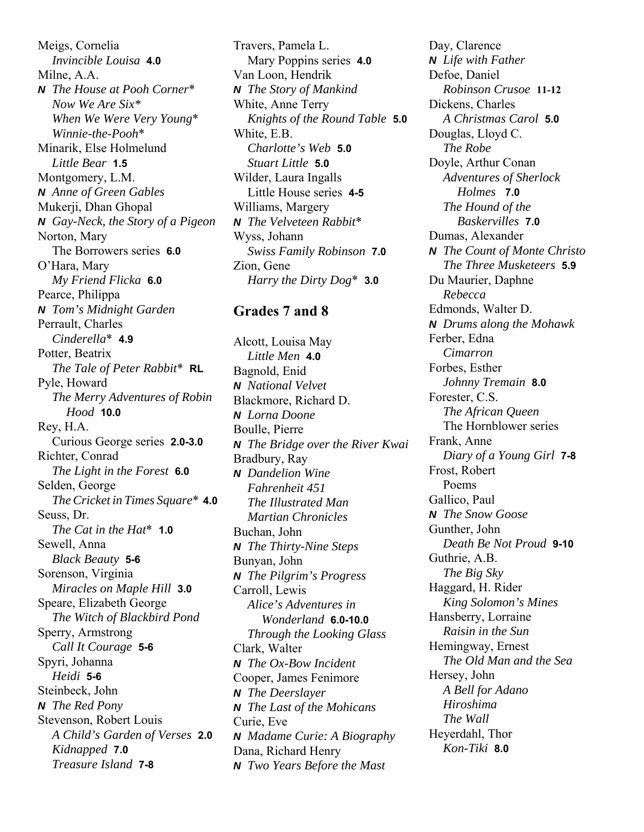Meigs, Cornelia *Invincible Louisa* **4.0** Milne, A.A. *N The House at Pooh Corner*\* *Now We Are Six\* When We Were Very Young*\* *Winnie-the-Pooh*\* Minarik, Else Holmelund *Little Bear* **1.5** Montgomery, L.M. *N Anne of Green Gables* Mukerji, Dhan Ghopal *N Gay-Neck, the Story of a Pigeon* Norton, Mary The Borrowers series **6.0** O'Hara, Mary *My Friend Flicka* **6.0** Pearce, Philippa *N Tom's Midnight Garden* Perrault, Charles *Cinderella*\* **4.9** Potter, Beatrix *The Tale of Peter Rabbit*\* **RL** Pyle, Howard *The Merry Adventures of Robin Hood* **10.0** Rey, H.A. Curious George series **2.0-3.0** Richter, Conrad *The Light in the Forest* **6.0** Selden, George *The Cricket in Times Square*\* **4.0** Seuss, Dr. *The Cat in the Hat*\* **1.0** Sewell, Anna *Black Beauty* **5-6** Sorenson, Virginia *Miracles on Maple Hill* **3.0** Speare, Elizabeth George *The Witch of Blackbird Pond* Sperry, Armstrong *Call It Courage* **5-6** Spyri, Johanna *Heidi* **5-6** Steinbeck, John *N The Red Pony* Stevenson, Robert Louis *A Child's Garden of Verses* **2.0** *Kidnapped* **7.0** *Treasure Island* **7-8**

Travers, Pamela L. Mary Poppins series **4.0** Van Loon, Hendrik *N The Story of Mankind* White, Anne Terry *Knights of the Round Table* **5.0** White, E.B. *Charlotte's Web* **5.0** *Stuart Little* **5.0** Wilder, Laura Ingalls Little House series **4-5** Williams, Margery *N The Velveteen Rabbit*\* Wyss, Johann *Swiss Family Robinson* **7.0** Zion, Gene *Harry the Dirty Dog*\* **3.0**

## **Grades 7 and 8**

Alcott, Louisa May *Little Men* **4.0** Bagnold, Enid *N National Velvet* Blackmore, Richard D. *N Lorna Doone* Boulle, Pierre *N The Bridge over the River Kwai* Bradbury, Ray *N Dandelion Wine Fahrenheit 451 The Illustrated Man Martian Chronicles* Buchan, John *N The Thirty-Nine Steps* Bunyan, John *N The Pilgrim's Progress* Carroll, Lewis *Alice's Adventures in Wonderland* **6.0-10.0** *Through the Looking Glass* Clark, Walter *N The Ox-Bow Incident* Cooper, James Fenimore *N The Deerslayer N The Last of the Mohicans* Curie, Eve *N Madame Curie: A Biography* Dana, Richard Henry *N Two Years Before the Mast*

Day, Clarence *N Life with Father* Defoe, Daniel *Robinson Crusoe* **11-12** Dickens, Charles *A Christmas Carol* **5.0** Douglas, Lloyd C. *The Robe* Doyle, Arthur Conan *Adventures of Sherlock Holmes* **7.0** *The Hound of the Baskervilles* **7.0** Dumas, Alexander *N The Count of Monte Christo The Three Musketeers* **5.9** Du Maurier, Daphne *Rebecca* Edmonds, Walter D. *N Drums along the Mohawk* Ferber, Edna *Cimarron* Forbes, Esther *Johnny Tremain* **8.0** Forester, C.S. *The African Queen* The Hornblower series Frank, Anne *Diary of a Young Girl* **7-8** Frost, Robert Poems Gallico, Paul *N The Snow Goose* Gunther, John *Death Be Not Proud* **9-10** Guthrie, A.B. *The Big Sky* Haggard, H. Rider *King Solomon's Mines* Hansberry, Lorraine *Raisin in the Sun* Hemingway, Ernest *The Old Man and the Sea* Hersey, John *A Bell for Adano Hiroshima The Wall* Heyerdahl, Thor *Kon-Tiki* **8.0**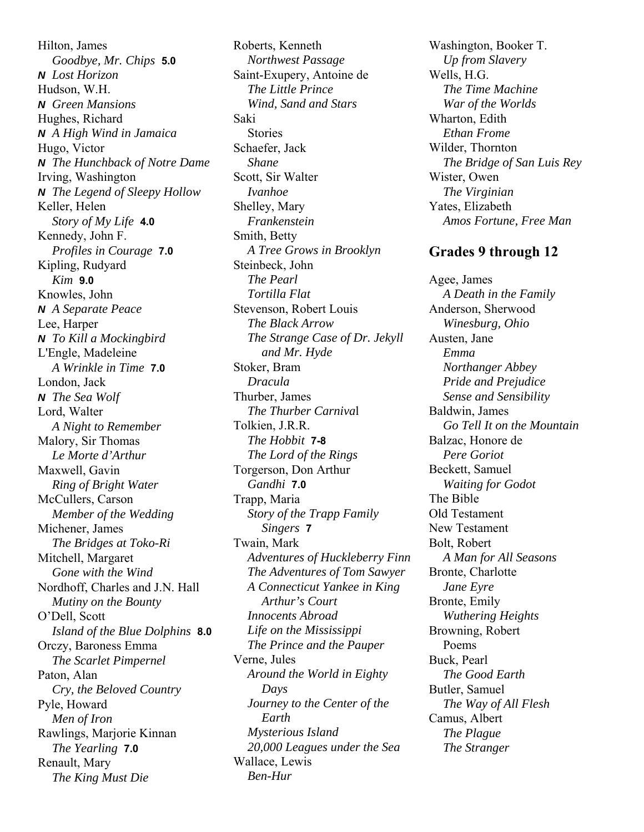Hilton, James *Goodbye, Mr. Chips* **5.0** *N Lost Horizon* Hudson, W.H. *N Green Mansions* Hughes, Richard *N A High Wind in Jamaica* Hugo, Victor *N The Hunchback of Notre Dame* Irving, Washington *N The Legend of Sleepy Hollow* Keller, Helen *Story of My Life* **4.0** Kennedy, John F. *Profiles in Courage* **7.0** Kipling, Rudyard *Kim* **9.0** Knowles, John *N A Separate Peace* Lee, Harper *N To Kill a Mockingbird* L'Engle, Madeleine *A Wrinkle in Time* **7.0** London, Jack *N The Sea Wolf* Lord, Walter *A Night to Remember* Malory, Sir Thomas *Le Morte d'Arthur* Maxwell, Gavin *Ring of Bright Water* McCullers, Carson *Member of the Wedding* Michener, James *The Bridges at Toko-Ri* Mitchell, Margaret *Gone with the Wind* Nordhoff, Charles and J.N. Hall *Mutiny on the Bounty* O'Dell, Scott *Island of the Blue Dolphins* **8.0** Orczy, Baroness Emma *The Scarlet Pimpernel* Paton, Alan *Cry, the Beloved Country* Pyle, Howard *Men of Iron* Rawlings, Marjorie Kinnan *The Yearling* **7.0** Renault, Mary *The King Must Die*

Roberts, Kenneth *Northwest Passage* Saint-Exupery, Antoine de *The Little Prince Wind, Sand and Stars* Saki Stories Schaefer, Jack *Shane* Scott, Sir Walter *Ivanhoe* Shelley, Mary *Frankenstein* Smith, Betty *A Tree Grows in Brooklyn* Steinbeck, John *The Pearl Tortilla Flat* Stevenson, Robert Louis *The Black Arrow The Strange Case of Dr. Jekyll and Mr. Hyde* Stoker, Bram *Dracula* Thurber, James *The Thurber Carniva*l Tolkien, J.R.R. *The Hobbit* **7-8** *The Lord of the Rings* Torgerson, Don Arthur *Gandhi* **7.0** Trapp, Maria *Story of the Trapp Family Singers* **7** Twain, Mark *Adventures of Huckleberry Finn The Adventures of Tom Sawyer A Connecticut Yankee in King Arthur's Court Innocents Abroad Life on the Mississippi The Prince and the Pauper* Verne, Jules *Around the World in Eighty Days Journey to the Center of the Earth Mysterious Island 20,000 Leagues under the Sea* Wallace, Lewis *Ben-Hur*

Washington, Booker T. *Up from Slavery* Wells, H.G. *The Time Machine War of the Worlds* Wharton, Edith *Ethan Frome* Wilder, Thornton *The Bridge of San Luis Rey* Wister, Owen *The Virginian* Yates, Elizabeth *Amos Fortune, Free Man*

## **Grades 9 through 12**

Agee, James *A Death in the Family* Anderson, Sherwood *Winesburg, Ohio* Austen, Jane *Emma Northanger Abbey Pride and Prejudice Sense and Sensibility* Baldwin, James *Go Tell It on the Mountain* Balzac, Honore de *Pere Goriot* Beckett, Samuel *Waiting for Godot* The Bible Old Testament New Testament Bolt, Robert *A Man for All Seasons* Bronte, Charlotte *Jane Eyre* Bronte, Emily *Wuthering Heights* Browning, Robert Poems Buck, Pearl *The Good Earth* Butler, Samuel *The Way of All Flesh* Camus, Albert *The Plague The Stranger*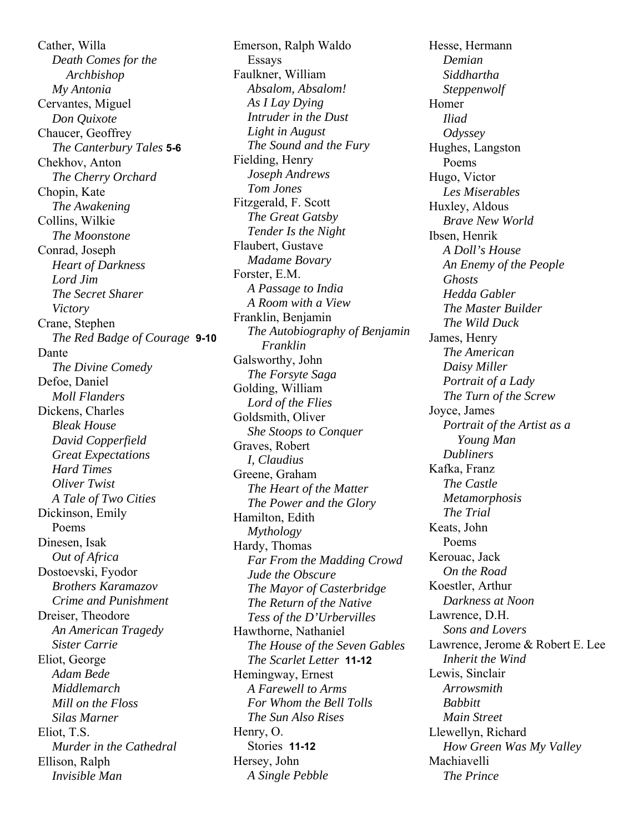Cather, Willa *Death Comes for the Archbishop My Antonia* Cervantes, Miguel *Don Quixote* Chaucer, Geoffrey *The Canterbury Tales* **5-6** Chekhov, Anton *The Cherry Orchard* Chopin, Kate *The Awakening* Collins, Wilkie *The Moonstone* Conrad, Joseph *Heart of Darkness Lord Jim The Secret Sharer Victory* Crane, Stephen *The Red Badge of Courage* **9-10** Dante *The Divine Comedy* Defoe, Daniel *Moll Flanders* Dickens, Charles *Bleak House David Copperfield Great Expectations Hard Times Oliver Twist A Tale of Two Cities* Dickinson, Emily Poems Dinesen, Isak *Out of Africa* Dostoevski, Fyodor *Brothers Karamazov Crime and Punishment* Dreiser, Theodore *An American Tragedy Sister Carrie* Eliot, George *Adam Bede Middlemarch Mill on the Floss Silas Marner* Eliot, T.S. *Murder in the Cathedral* Ellison, Ralph *Invisible Man*

Emerson, Ralph Waldo Essays Faulkner, William *Absalom, Absalom! As I Lay Dying Intruder in the Dust Light in August The Sound and the Fury* Fielding, Henry *Joseph Andrews Tom Jones* Fitzgerald, F. Scott *The Great Gatsby Tender Is the Night* Flaubert, Gustave *Madame Bovary* Forster, E.M. *A Passage to India A Room with a View* Franklin, Benjamin *The Autobiography of Benjamin Franklin* Galsworthy, John *The Forsyte Saga* Golding, William *Lord of the Flies* Goldsmith, Oliver *She Stoops to Conquer* Graves, Robert *I, Claudius* Greene, Graham *The Heart of the Matter The Power and the Glory* Hamilton, Edith *Mythology* Hardy, Thomas *Far From the Madding Crowd Jude the Obscure The Mayor of Casterbridge The Return of the Native Tess of the D'Urbervilles* Hawthorne, Nathaniel *The House of the Seven Gables The Scarlet Letter* **11-12** Hemingway, Ernest *A Farewell to Arms For Whom the Bell Tolls The Sun Also Rises* Henry, O. Stories **11-12** Hersey, John *A Single Pebble*

Hesse, Hermann *Demian Siddhartha Steppenwolf* Homer *Iliad Odyssey* Hughes, Langston Poems Hugo, Victor *Les Miserables* Huxley, Aldous *Brave New World* Ibsen, Henrik *A Doll's House An Enemy of the People Ghosts Hedda Gabler The Master Builder The Wild Duck* James, Henry *The American Daisy Miller Portrait of a Lady The Turn of the Screw* Joyce, James *Portrait of the Artist as a Young Man Dubliners* Kafka, Franz *The Castle Metamorphosis The Trial* Keats, John Poems Kerouac, Jack *On the Road* Koestler, Arthur *Darkness at Noon* Lawrence, D.H. *Sons and Lovers* Lawrence, Jerome & Robert E. Lee *Inherit the Wind* Lewis, Sinclair *Arrowsmith Babbitt Main Street* Llewellyn, Richard *How Green Was My Valley* Machiavelli *The Prince*